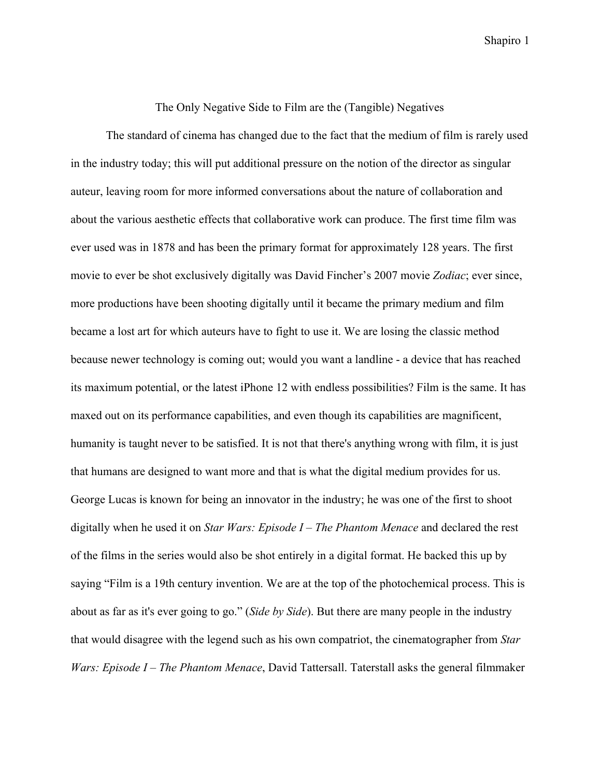## The Only Negative Side to Film are the (Tangible) Negatives

The standard of cinema has changed due to the fact that the medium of film is rarely used in the industry today; this will put additional pressure on the notion of the director as singular auteur, leaving room for more informed conversations about the nature of collaboration and about the various aesthetic effects that collaborative work can produce. The first time film was ever used was in 1878 and has been the primary format for approximately 128 years. The first movie to ever be shot exclusively digitally was David Fincher's 2007 movie *Zodiac*; ever since, more productions have been shooting digitally until it became the primary medium and film became a lost art for which auteurs have to fight to use it. We are losing the classic method because newer technology is coming out; would you want a landline - a device that has reached its maximum potential, or the latest iPhone 12 with endless possibilities? Film is the same. It has maxed out on its performance capabilities, and even though its capabilities are magnificent, humanity is taught never to be satisfied. It is not that there's anything wrong with film, it is just that humans are designed to want more and that is what the digital medium provides for us. George Lucas is known for being an innovator in the industry; he was one of the first to shoot digitally when he used it on *Star Wars: Episode I – The Phantom Menace* and declared the rest of the films in the series would also be shot entirely in a digital format. He backed this up by saying "Film is a 19th century invention. We are at the top of the photochemical process. This is about as far as it's ever going to go." (*Side by Side*). But there are many people in the industry that would disagree with the legend such as his own compatriot, the cinematographer from *Star Wars: Episode I – The Phantom Menace*, David Tattersall. Taterstall asks the general filmmaker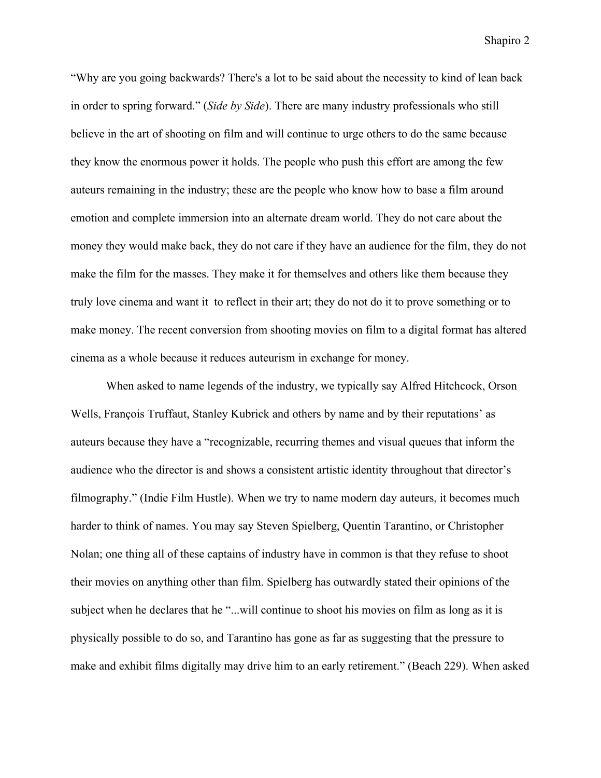"Why are you going backwards? There's a lot to be said about the necessity to kind of lean back in order to spring forward." (*Side by Side*). There are many industry professionals who still believe in the art of shooting on film and will continue to urge others to do the same because they know the enormous power it holds. The people who push this effort are among the few auteurs remaining in the industry; these are the people who know how to base a film around emotion and complete immersion into an alternate dream world. They do not care about the money they would make back, they do not care if they have an audience for the film, they do not make the film for the masses. They make it for themselves and others like them because they truly love cinema and want it to reflect in their art; they do not do it to prove something or to make money. The recent conversion from shooting movies on film to a digital format has altered cinema as a whole because it reduces auteurism in exchange for money.

When asked to name legends of the industry, we typically say Alfred Hitchcock, Orson Wells, François Truffaut, Stanley Kubrick and others by name and by their reputations' as auteurs because they have a "recognizable, recurring themes and visual queues that inform the audience who the director is and shows a consistent artistic identity throughout that director's [filmography](http://i.viglink.com/?key=5b792196539952d3a45f6f41cd5c0afd&insertId=3d67d9c3200c454f&type=H&mid=6621&exp=60%3ACI1C55A%3A6&libId=k9ic39ic0101rwmd000DA1bxcd55h2o9tr&loc=https%3A%2F%2Findiefilmhustle.com%2Fauteur-theroy%2F&v=1&iid=3d67d9c3200c454f&out=https%3A%2F%2Fwww.pjatr.com%2Ft%2F1-6621-43737-6621%3Furl%3Dhttp%253A%252F%252Fwww.deepdiscount.com%252Fpjx%252F4719760019622%252F%253Futm_source%253DPJX%2526utm_medium%253DAffiliate%2526utm_campaign%253DBanner&title=What%20is%20Auteur%20Theory%20and%20Why%20Is%20It%20Important%3F%20-%20Indie%20Film%20Hustle&txt=%3Cspan%3Efilmography%3C%2Fspan%3E)." (Indie Film Hustle). When we try to name modern day auteurs, it becomes much harder to think of names. You may say Steven Spielberg, Quentin Tarantino, or Christopher Nolan; one thing all of these captains of industry have in common is that they refuse to shoot their movies on anything other than film. Spielberg has outwardly stated their opinions of the subject when he declares that he "...will continue to shoot his movies on film as long as it is physically possible to do so, and Tarantino has gone as far as suggesting that the pressure to make and exhibit films digitally may drive him to an early retirement." (Beach 229). When asked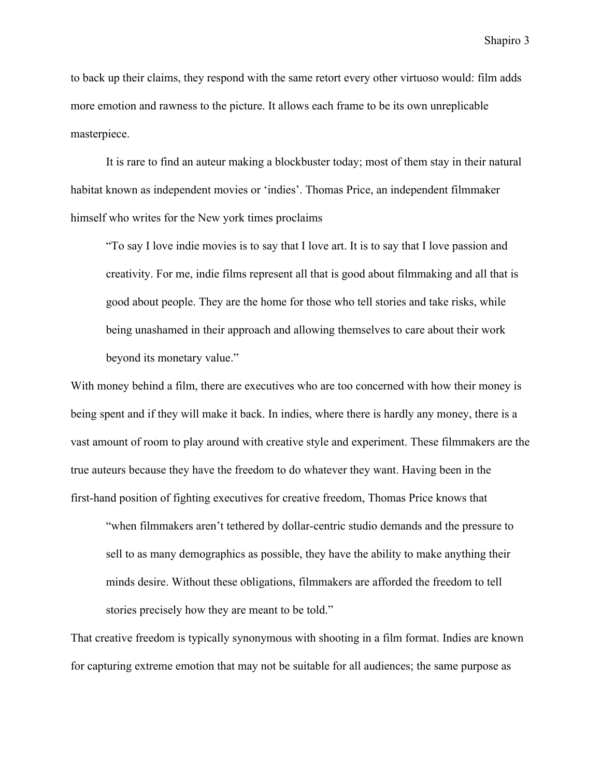to back up their claims, they respond with the same retort every other virtuoso would: film adds more emotion and rawness to the picture. It allows each frame to be its own unreplicable masterpiece.

It is rare to find an auteur making a blockbuster today; most of them stay in their natural habitat known as independent movies or 'indies'. Thomas Price, an independent filmmaker himself who writes for the New york times proclaims

"To say I love indie movies is to say that I love art. It is to say that I love passion and creativity. For me, indie films represent all that is good about filmmaking and all that is good about people. They are the home for those who tell stories and take risks, while being unashamed in their approach and allowing themselves to care about their work beyond its monetary value."

With money behind a film, there are executives who are too concerned with how their money is being spent and if they will make it back. In indies, where there is hardly any money, there is a vast amount of room to play around with creative style and experiment. These filmmakers are the true auteurs because they have the freedom to do whatever they want. Having been in the first-hand position of fighting executives for creative freedom, Thomas Price knows that

"when filmmakers aren't tethered by dollar-centric studio demands and the pressure to sell to as many demographics as possible, they have the ability to make anything their minds desire. Without these obligations, filmmakers are afforded the freedom to tell stories precisely how they are meant to be told."

That creative freedom is typically synonymous with shooting in a film format. Indies are known for capturing extreme emotion that may not be suitable for all audiences; the same purpose as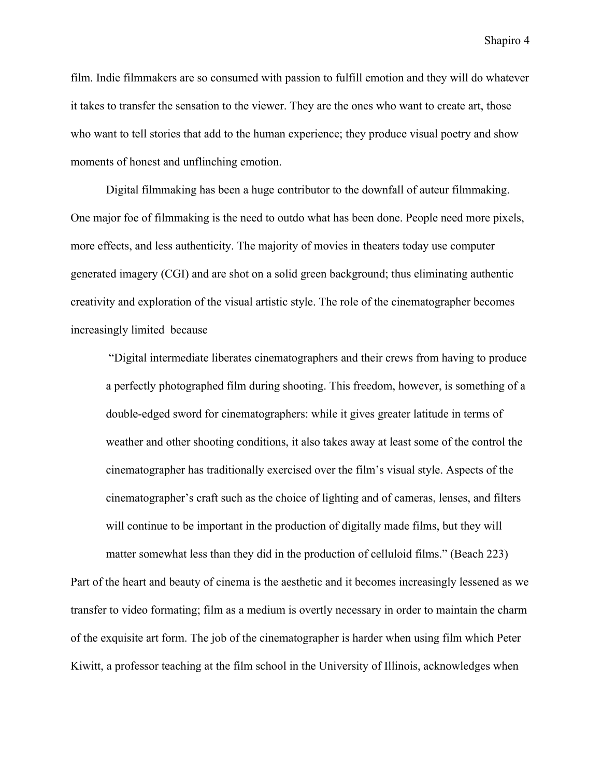film. Indie filmmakers are so consumed with passion to fulfill emotion and they will do whatever it takes to transfer the sensation to the viewer. They are the ones who want to create art, those who want to tell stories that add to the human experience; they produce visual poetry and show moments of honest and unflinching emotion.

Digital filmmaking has been a huge contributor to the downfall of auteur filmmaking. One major foe of filmmaking is the need to outdo what has been done. People need more pixels, more effects, and less authenticity. The majority of movies in theaters today use computer generated imagery (CGI) and are shot on a solid green background; thus eliminating authentic creativity and exploration of the visual artistic style. The role of the cinematographer becomes increasingly limited because

 "Digital intermediate liberates cinematographers and their crews from having to produce a perfectly photographed film during shooting. This freedom, however, is something of a double-edged sword for cinematographers: while it gives greater latitude in terms of weather and other shooting conditions, it also takes away at least some of the control the cinematographer has traditionally exercised over the film's visual style. Aspects of the cinematographer's craft such as the choice of lighting and of cameras, lenses, and filters will continue to be important in the production of digitally made films, but they will

matter somewhat less than they did in the production of celluloid films." (Beach 223) Part of the heart and beauty of cinema is the aesthetic and it becomes increasingly lessened as we transfer to video formating; film as a medium is overtly necessary in order to maintain the charm of the exquisite art form. The job of the cinematographer is harder when using film which Peter Kiwitt, a professor teaching at the film school in the University of Illinois, acknowledges when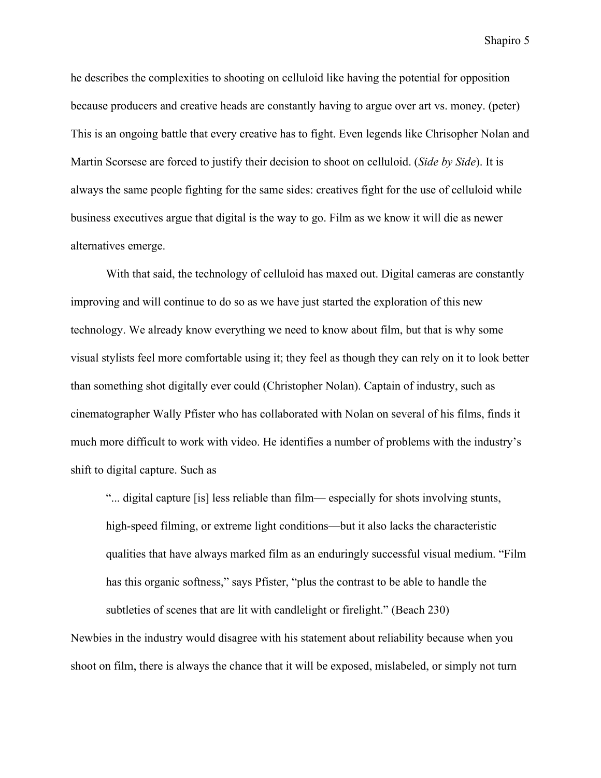he describes the complexities to shooting on celluloid like having the potential for opposition because producers and creative heads are constantly having to argue over art vs. money. (peter) This is an ongoing battle that every creative has to fight. Even legends like Chrisopher Nolan and Martin Scorsese are forced to justify their decision to shoot on celluloid. (*Side by Side*). It is always the same people fighting for the same sides: creatives fight for the use of celluloid while business executives argue that digital is the way to go. Film as we know it will die as newer alternatives emerge.

With that said, the technology of celluloid has maxed out. Digital cameras are constantly improving and will continue to do so as we have just started the exploration of this new technology. We already know everything we need to know about film, but that is why some visual stylists feel more comfortable using it; they feel as though they can rely on it to look better than something shot digitally ever could (Christopher Nolan). Captain of industry, such as cinematographer Wally Pfister who has collaborated with Nolan on several of his films, finds it much more difficult to work with video. He identifies a number of problems with the industry's shift to digital capture. Such as

"... digital capture [is] less reliable than film— especially for shots involving stunts, high-speed filming, or extreme light conditions—but it also lacks the characteristic qualities that have always marked film as an enduringly successful visual medium. "Film has this organic softness," says Pfister, "plus the contrast to be able to handle the subtleties of scenes that are lit with candlelight or firelight." (Beach 230)

Newbies in the industry would disagree with his statement about reliability because when you shoot on film, there is always the chance that it will be exposed, mislabeled, or simply not turn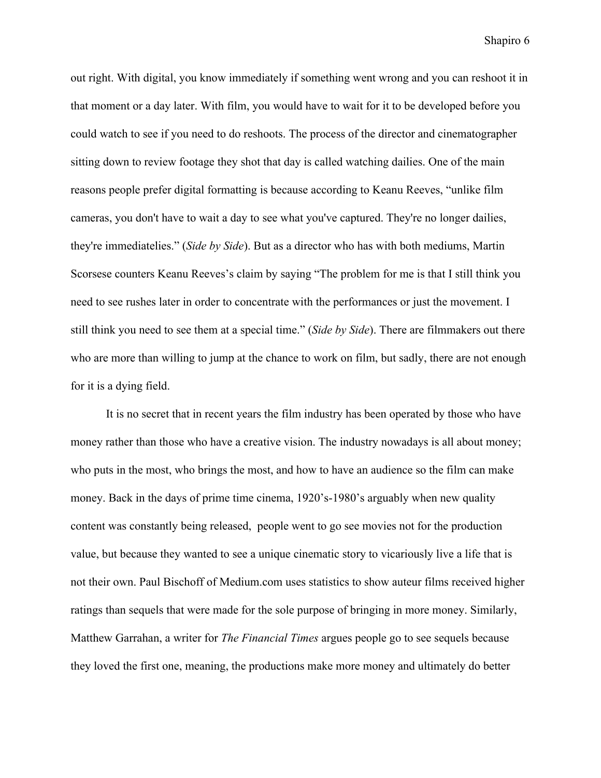out right. With digital, you know immediately if something went wrong and you can reshoot it in that moment or a day later. With film, you would have to wait for it to be developed before you could watch to see if you need to do reshoots. The process of the director and cinematographer sitting down to review footage they shot that day is called watching dailies. One of the main reasons people prefer digital formatting is because according to Keanu Reeves, "unlike film cameras, you don't have to wait a day to see what you've captured. They're no longer dailies, they're immediatelies." (*Side by Side*). But as a director who has with both mediums, Martin Scorsese counters Keanu Reeves's claim by saying "The problem for me is that I still think you need to see rushes later in order to concentrate with the performances or just the movement. I still think you need to see them at a special time." (*Side by Side*). There are filmmakers out there who are more than willing to jump at the chance to work on film, but sadly, there are not enough for it is a dying field.

It is no secret that in recent years the film industry has been operated by those who have money rather than those who have a creative vision. The industry nowadays is all about money; who puts in the most, who brings the most, and how to have an audience so the film can make money. Back in the days of prime time cinema, 1920's-1980's arguably when new quality content was constantly being released, people went to go see movies not for the production value, but because they wanted to see a unique cinematic story to vicariously live a life that is not their own. Paul Bischoff of Medium.com uses statistics to show auteur films received higher ratings than sequels that were made for the sole purpose of bringing in more money. Similarly, Matthew Garrahan, a writer for *The Financial Times* argues people go to see sequels because they loved the first one, meaning, the productions make more money and ultimately do better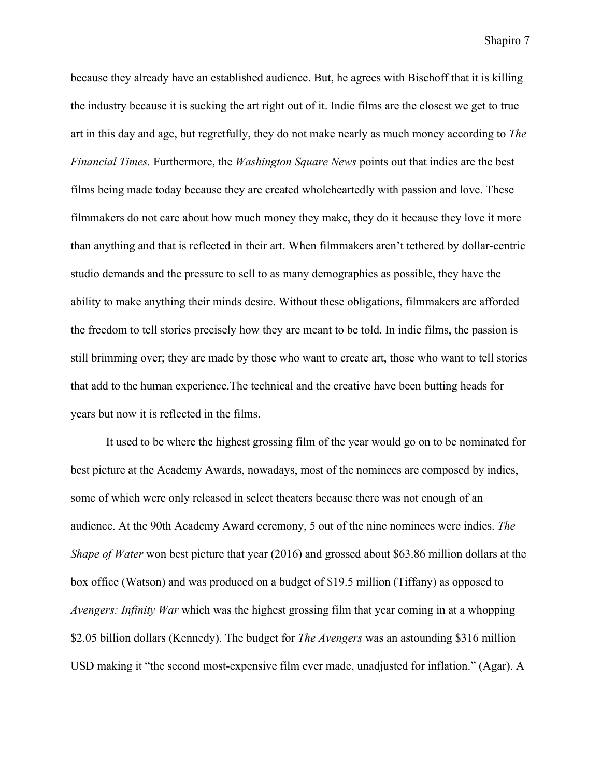because they already have an established audience. But, he agrees with Bischoff that it is killing the industry because it is sucking the art right out of it. Indie films are the closest we get to true art in this day and age, but regretfully, they do not make nearly as much money according to *The Financial Times.* Furthermore, the *Washington Square News* points out that indies are the best films being made today because they are created wholeheartedly with passion and love. These filmmakers do not care about how much money they make, they do it because they love it more than anything and that is reflected in their art. When filmmakers aren't tethered by dollar-centric studio demands and the pressure to sell to as many demographics as possible, they have the ability to make anything their minds desire. Without these obligations, filmmakers are afforded the freedom to tell stories precisely how they are meant to be told. In indie films, the passion is still brimming over; they are made by those who want to create art, those who want to tell stories that add to the human experience.The technical and the creative have been butting heads for years but now it is reflected in the films.

It used to be where the highest grossing film of the year would go on to be nominated for best picture at the Academy Awards, nowadays, most of the nominees are composed by indies, some of which were only released in select theaters because there was not enough of an audience. At the 90th Academy Award ceremony, 5 out of the nine nominees were indies. *The Shape of Water* won best picture that year (2016) and grossed about \$63.86 million dollars at the box office (Watson) and was produced on a budget of \$19.5 million (Tiffany) as opposed to *Avengers: Infinity War* which was the highest grossing film that year coming in at a whopping \$2.05 billion dollars (Kennedy). The budget for *The Avengers* was an astounding \$316 million USD making it "the second most-expensive film ever made, unadjusted for inflation." (Agar). A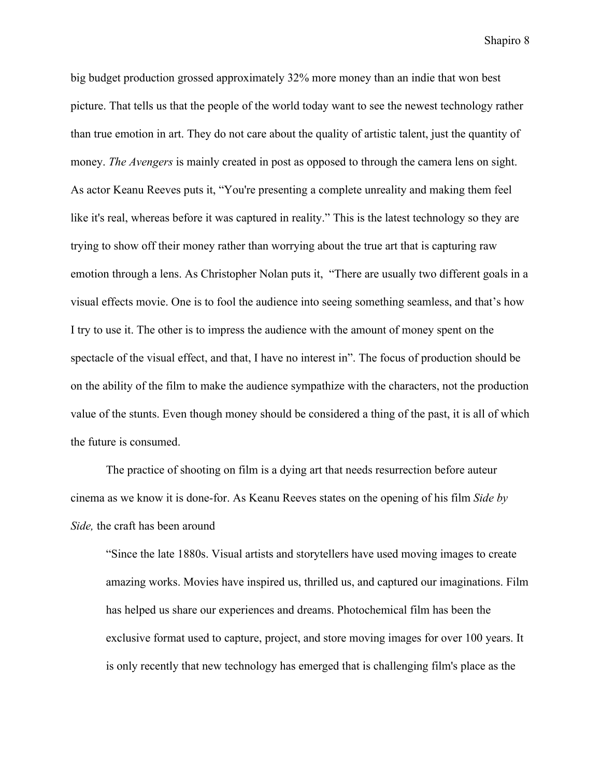big budget production grossed approximately 32% more money than an indie that won best picture. That tells us that the people of the world today want to see the newest technology rather than true emotion in art. They do not care about the quality of artistic talent, just the quantity of money. *The Avengers* is mainly created in post as opposed to through the camera lens on sight. As actor Keanu Reeves puts it, "You're presenting a complete unreality and making them feel like it's real, whereas before it was captured in reality." This is the latest technology so they are trying to show off their money rather than worrying about the true art that is capturing raw emotion through a lens. As Christopher Nolan puts it, "There are usually two different goals in a visual effects movie. One is to fool the audience into seeing something seamless, and that's how I try to use it. The other is to impress the audience with the amount of money spent on the spectacle of the visual effect, and that, I have no interest in". The focus of production should be on the ability of the film to make the audience sympathize with the characters, not the production value of the stunts. Even though money should be considered a thing of the past, it is all of which the future is consumed.

The practice of shooting on film is a dying art that needs resurrection before auteur cinema as we know it is done-for. As Keanu Reeves states on the opening of his film *Side by Side,* the craft has been around

"Since the late 1880s. Visual artists and storytellers have used moving images to create amazing works. Movies have inspired us, thrilled us, and captured our imaginations. Film has helped us share our experiences and dreams. Photochemical film has been the exclusive format used to capture, project, and store moving images for over 100 years. It is only recently that new technology has emerged that is challenging film's place as the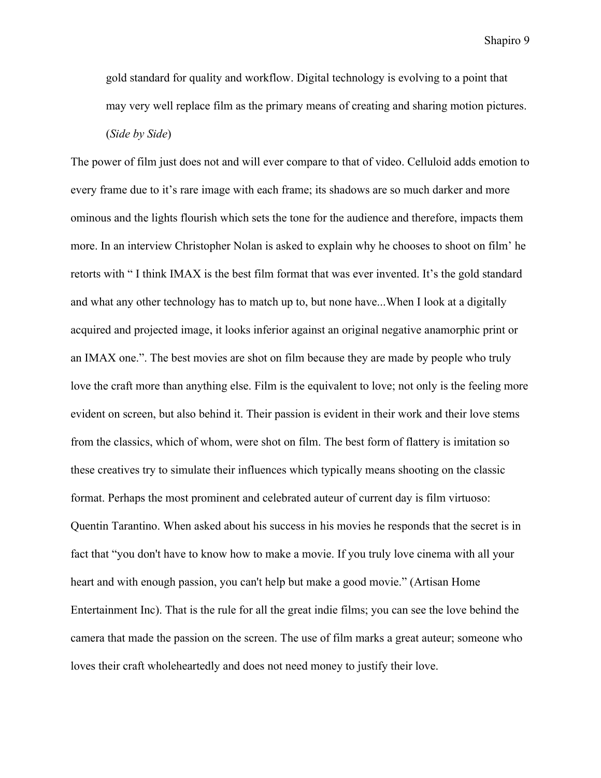gold standard for quality and workflow. Digital technology is evolving to a point that may very well replace film as the primary means of creating and sharing motion pictures.

(*Side by Side*)

The power of film just does not and will ever compare to that of video. Celluloid adds emotion to every frame due to it's rare image with each frame; its shadows are so much darker and more ominous and the lights flourish which sets the tone for the audience and therefore, impacts them more. In an interview Christopher Nolan is asked to explain why he chooses to shoot on film' he retorts with " I think IMAX is the best film format that was ever invented. It's the gold standard and what any other technology has to match up to, but none have...When I look at a digitally acquired and projected image, it looks inferior against an original negative anamorphic print or an IMAX one.". The best movies are shot on film because they are made by people who truly love the craft more than anything else. Film is the equivalent to love; not only is the feeling more evident on screen, but also behind it. Their passion is evident in their work and their love stems from the classics, which of whom, were shot on film. The best form of flattery is imitation so these creatives try to simulate their influences which typically means shooting on the classic format. Perhaps the most prominent and celebrated auteur of current day is film virtuoso: Quentin Tarantino. When asked about his success in his movies he responds that the secret is in fact that "you don't have to know how to make a movie. If you truly love cinema with all your heart and with enough passion, you can't help but make a good movie." (Artisan Home Entertainment Inc). That is the rule for all the great indie films; you can see the love behind the camera that made the passion on the screen. The use of film marks a great auteur; someone who loves their craft wholeheartedly and does not need money to justify their love.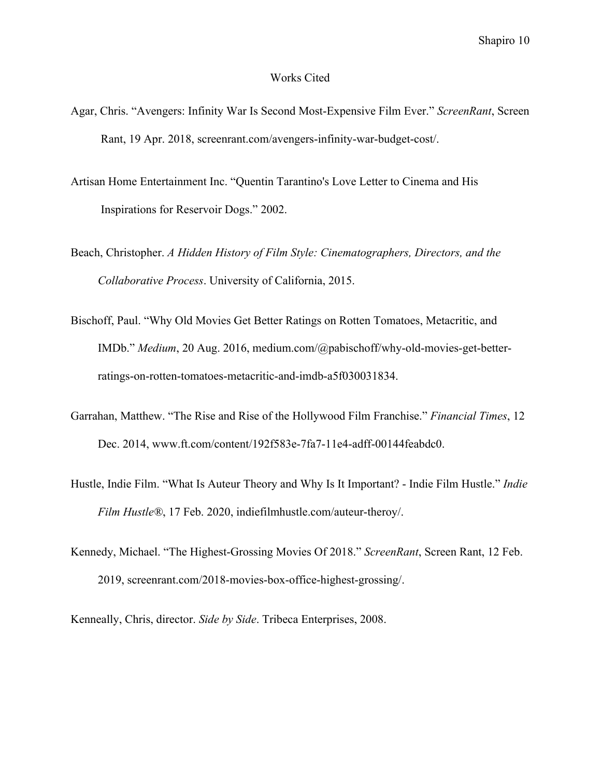## Works Cited

- Agar, Chris. "Avengers: Infinity War Is Second Most-Expensive Film Ever." *ScreenRant*, Screen Rant, 19 Apr. 2018, screenrant.com/avengers-infinity-war-budget-cost/.
- Artisan Home Entertainment Inc. "Quentin Tarantino's Love Letter to Cinema and His Inspirations for Reservoir Dogs." 2002.
- Beach, Christopher. *A Hidden History of Film Style: Cinematographers, Directors, and the Collaborative Process*. University of California, 2015.
- Bischoff, Paul. "Why Old Movies Get Better Ratings on Rotten Tomatoes, Metacritic, and IMDb." *Medium*, 20 Aug. 2016, medium.com/@pabischoff/why-old-movies-get-betterratings-on-rotten-tomatoes-metacritic-and-imdb-a5f030031834.
- Garrahan, Matthew. "The Rise and Rise of the Hollywood Film Franchise." *Financial Times*, 12 Dec. 2014, [www.ft.com/content/192f583e-7fa7-11e4-adff-00144feabdc0](http://www.ft.com/content/192f583e-7fa7-11e4-adff-00144feabdc0).
- Hustle, Indie Film. "What Is Auteur Theory and Why Is It Important? Indie Film Hustle." *Indie Film Hustle®*, 17 Feb. 2020, indiefilmhustle.com/auteur-theroy/.
- Kennedy, Michael. "The Highest-Grossing Movies Of 2018." *ScreenRant*, Screen Rant, 12 Feb. 2019, screenrant.com/2018-movies-box-office-highest-grossing/.
- Kenneally, Chris, director. *Side by Side*. Tribeca Enterprises, 2008.